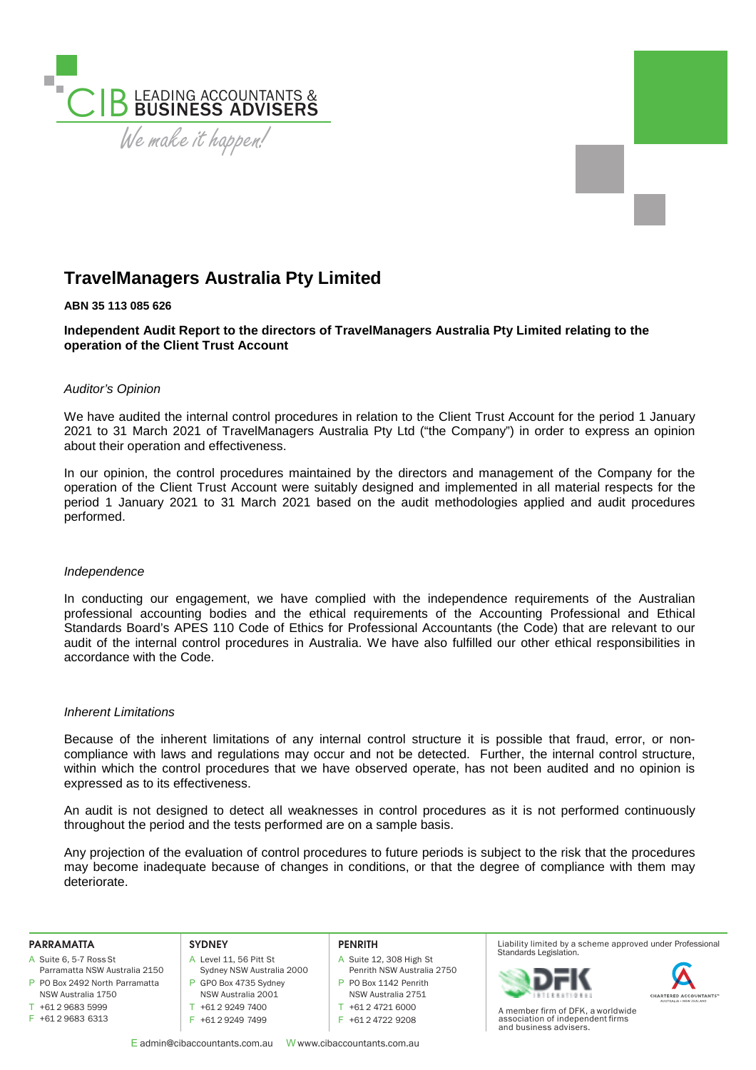

# **TravelManagers Australia Pty Limited**

# **ABN 35 113 085 626**

**Independent Audit Report to the directors of TravelManagers Australia Pty Limited relating to the operation of the Client Trust Account** 

# *Auditor's Opinion*

We have audited the internal control procedures in relation to the Client Trust Account for the period 1 January 2021 to 31 March 2021 of TravelManagers Australia Pty Ltd ("the Company") in order to express an opinion about their operation and effectiveness.

In our opinion, the control procedures maintained by the directors and management of the Company for the operation of the Client Trust Account were suitably designed and implemented in all material respects for the period 1 January 2021 to 31 March 2021 based on the audit methodologies applied and audit procedures performed.

## *Independence*

In conducting our engagement, we have complied with the independence requirements of the Australian professional accounting bodies and the ethical requirements of the Accounting Professional and Ethical Standards Board's APES 110 Code of Ethics for Professional Accountants (the Code) that are relevant to our audit of the internal control procedures in Australia. We have also fulfilled our other ethical responsibilities in accordance with the Code.

## *Inherent Limitations*

Because of the inherent limitations of any internal control structure it is possible that fraud, error, or noncompliance with laws and regulations may occur and not be detected. Further, the internal control structure, within which the control procedures that we have observed operate, has not been audited and no opinion is expressed as to its effectiveness.

An audit is not designed to detect all weaknesses in control procedures as it is not performed continuously throughout the period and the tests performed are on a sample basis.

Any projection of the evaluation of control procedures to future periods is subject to the risk that the procedures may become inadequate because of changes in conditions, or that the degree of compliance with them may deteriorate.

#### **PARRAMATTA**

- A Suite 6, 5-7 Ross St
- P PO Box 2492 North Parramatta Parramatta NSW Australia 2150 NSW Australia 1750
- $T + 61296835999$
- F +61 2 9683 6313

## **SYDNEY**

- A Level 11, 56 Pitt St Sydney NSW Australia 2000 P GPO Box 4735 Sydney
- NSW Australia 2001 T +61 2 9249 7400
- F +61 2 9249 7499

## **PENRITH**

- A Suite 12, 308 High St
- Penrith NSW Australia 2750 P PO Box 1142 Penrith
- NSW Australia 2751
- T +61 2 4721 6000
- F +61 2 4722 9208
- E admin@cibaccountants.com.au W www.cibaccountants.com.au

Liability limited by a scheme approved under Professional Standards Legislation.





A member firm of DFK, a worldwide association of independent firms and business advisers.